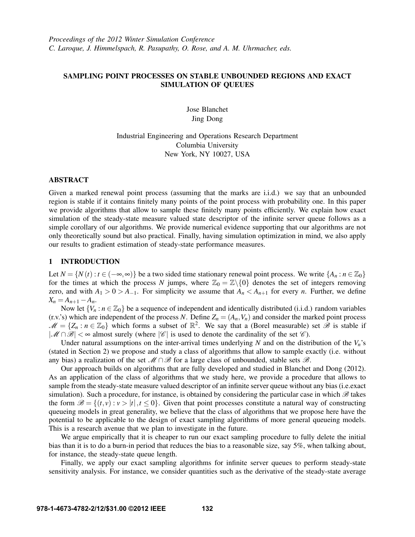# SAMPLING POINT PROCESSES ON STABLE UNBOUNDED REGIONS AND EXACT SIMULATION OF QUEUES

Jose Blanchet Jing Dong

Industrial Engineering and Operations Research Department Columbia University New York, NY 10027, USA

#### ABSTRACT

Given a marked renewal point process (assuming that the marks are i.i.d.) we say that an unbounded region is stable if it contains finitely many points of the point process with probability one. In this paper we provide algorithms that allow to sample these finitely many points efficiently. We explain how exact simulation of the steady-state measure valued state descriptor of the infinite server queue follows as a simple corollary of our algorithms. We provide numerical evidence supporting that our algorithms are not only theoretically sound but also practical. Finally, having simulation optimization in mind, we also apply our results to gradient estimation of steady-state performance measures.

# 1 INTRODUCTION

Let  $N = \{N(t) : t \in (-\infty, \infty)\}$  be a two sided time stationary renewal point process. We write  $\{A_n : n \in \mathbb{Z}_0\}$ for the times at which the process *N* jumps, where  $\mathbb{Z}_0 = \mathbb{Z}\backslash\{0\}$  denotes the set of integers removing zero, and with  $A_1 > 0 > A_{-1}$ . For simplicity we assume that  $A_n < A_{n+1}$  for every *n*. Further, we define  $X_n = A_{n+1} - A_n$ .

Now let  ${V_n : n \in \mathbb{Z}_0}$  be a sequence of independent and identically distributed (i.i.d.) random variables (r.v.'s) which are independent of the process *N*. Define  $Z_n = (A_n, V_n)$  and consider the marked point process  $\mathcal{M} = \{Z_n : n \in \mathbb{Z}_0\}$  which forms a subset of  $\mathbb{R}^2$ . We say that a (Borel measurable) set  $\hat{\mathcal{B}}$  is stable if  $|\mathcal{M} \cap \mathcal{B}| < \infty$  almost surely (where  $|\mathcal{C}|$  is used to denote the cardinality of the set  $\mathcal{C}$ ).

Under natural assumptions on the inter-arrival times underlying  $N$  and on the distribution of the  $V_n$ 's (stated in Section 2) we propose and study a class of algorithms that allow to sample exactly (i.e. without any bias) a realization of the set  $\mathcal{M} \cap \mathcal{B}$  for a large class of unbounded, stable sets  $\mathcal{B}$ .

Our approach builds on algorithms that are fully developed and studied in Blanchet and Dong (2012). As an application of the class of algorithms that we study here, we provide a procedure that allows to sample from the steady-state measure valued descriptor of an infinite server queue without any bias (i.e.exact simulation). Such a procedure, for instance, is obtained by considering the particular case in which  $\mathscr B$  takes the form  $\mathscr{B} = \{(t, v) : v > |t|, t \leq 0\}$ . Given that point processes constitute a natural way of constructing queueing models in great generality, we believe that the class of algorithms that we propose here have the potential to be applicable to the design of exact sampling algorithms of more general queueing models. This is a research avenue that we plan to investigate in the future.

We argue empirically that it is cheaper to run our exact sampling procedure to fully delete the initial bias than it is to do a burn-in period that reduces the bias to a reasonable size, say 5%, when talking about, for instance, the steady-state queue length.

Finally, we apply our exact sampling algorithms for infinite server queues to perform steady-state sensitivity analysis. For instance, we consider quantities such as the derivative of the steady-state average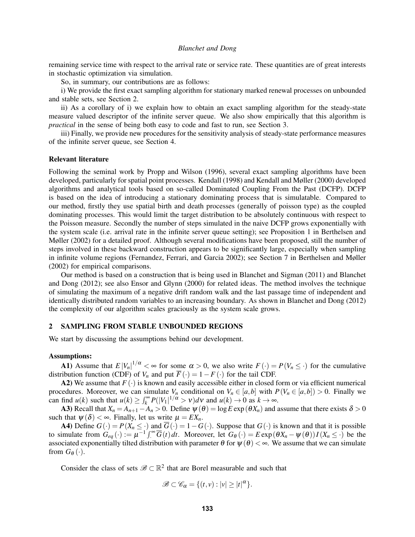remaining service time with respect to the arrival rate or service rate. These quantities are of great interests in stochastic optimization via simulation.

So, in summary, our contributions are as follows:

i) We provide the first exact sampling algorithm for stationary marked renewal processes on unbounded and stable sets, see Section 2.

ii) As a corollary of i) we explain how to obtain an exact sampling algorithm for the steady-state measure valued descriptor of the infinite server queue. We also show empirically that this algorithm is *practical* in the sense of being both easy to code and fast to run, see Section 3.

iii) Finally, we provide new procedures for the sensitivity analysis of steady-state performance measures of the infinite server queue, see Section 4.

#### Relevant literature

Following the seminal work by Propp and Wilson (1996), several exact sampling algorithms have been developed, particularly for spatial point processes. Kendall (1998) and Kendall and Møller (2000) developed algorithms and analytical tools based on so-called Dominated Coupling From the Past (DCFP). DCFP is based on the idea of introducing a stationary dominating process that is simulatable. Compared to our method, firstly they use spatial birth and death processes (generally of poisson type) as the coupled dominating processes. This would limit the target distribution to be absolutely continuous with respect to the Poisson measure. Secondly the number of steps simulated in the naive DCFP grows exponentially with the system scale (i.e. arrival rate in the infinite server queue setting); see Proposition 1 in Berthelsen and Møller (2002) for a detailed proof. Although several modifications have been proposed, still the number of steps involved in these backward construction appears to be significantly large, especially when sampling in infinite volume regions (Fernandez, Ferrari, and Garcia 2002); see Section 7 in Berthelsen and Møller (2002) for empirical comparisons.

Our method is based on a construction that is being used in Blanchet and Sigman (2011) and Blanchet and Dong (2012); see also Ensor and Glynn (2000) for related ideas. The method involves the technique of simulating the maximum of a negative drift random walk and the last passage time of independent and identically distributed random variables to an increasing boundary. As shown in Blanchet and Dong (2012) the complexity of our algorithm scales graciously as the system scale grows.

#### 2 SAMPLING FROM STABLE UNBOUNDED REGIONS

We start by discussing the assumptions behind our development.

#### Assumptions:

**A1**) Assume that  $E |V_n|^{1/\alpha} < \infty$  for some  $\alpha > 0$ , we also write  $F(\cdot) = P(V_n \leq \cdot)$  for the cumulative distribution function (CDF) of  $V_n$  and put  $\overline{F}(\cdot) = 1 - F(\cdot)$  for the tail CDF.

A2) We assume that  $F(\cdot)$  is known and easily accessible either in closed form or via efficient numerical procedures. Moreover, we can simulate  $V_n$  conditional on  $V_n \in [a,b]$  with  $P(V_n \in [a,b]) > 0$ . Finally we can find  $u(k)$  such that  $u(k) \ge \int_k^{\infty} P(|V_1|^{1/\alpha} > v) dv$  and  $u(k) \to 0$  as  $k \to \infty$ .

A3) Recall that  $X_n = A_{n+1} - A_n > 0$ . Define  $\psi(\theta) = \log E \exp(\theta X_n)$  and assume that there exists  $\delta > 0$ such that  $\psi(\delta) < \infty$ . Finally, let us write  $\mu = EX_n$ .

A4) Define  $G(\cdot) = P(X_n \leq \cdot)$  and  $\overline{G}(\cdot) = 1 - G(\cdot)$ . Suppose that  $G(\cdot)$  is known and that it is possible to simulate from  $G_{eq}(\cdot) := \mu^{-1} \int_{-\infty}^{\infty} \overline{G}(t) dt$ . Moreover, let  $G_{\theta}(\cdot) = E \exp(\theta X_n - \psi(\theta)) I(X_n \leq \cdot)$  be the associated exponentially tilted distribution with parameter  $\theta$  for  $\psi(\theta) < \infty$ . We assume that we can simulate from  $G_{\theta}(\cdot)$ .

Consider the class of sets  $\mathscr{B} \subset \mathbb{R}^2$  that are Borel measurable and such that

$$
\mathscr{B}\subset \mathscr{C}_{\alpha}=\{(t,v):|v|\geq |t|^{\alpha}\}.
$$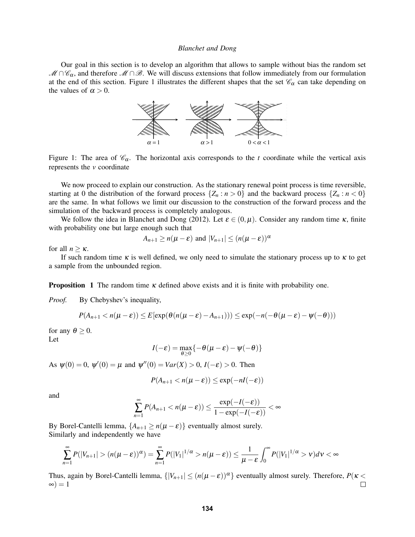Our goal in this section is to develop an algorithm that allows to sample without bias the random set  $\mathcal{M} \cap \mathcal{C}_\alpha$ , and therefore  $\mathcal{M} \cap \mathcal{B}$ . We will discuss extensions that follow immediately from our formulation at the end of this section. Figure 1 illustrates the different shapes that the set  $\mathscr{C}_{\alpha}$  can take depending on the values of  $\alpha > 0$ .



Figure 1: The area of  $\mathcal{C}_{\alpha}$ . The horizontal axis corresponds to the *t* coordinate while the vertical axis represents the *v* coordinate

We now proceed to explain our construction. As the stationary renewal point process is time reversible, starting at 0 the distribution of the forward process  $\{Z_n : n > 0\}$  and the backward process  $\{Z_n : n < 0\}$ are the same. In what follows we limit our discussion to the construction of the forward process and the simulation of the backward process is completely analogous.

We follow the idea in Blanchet and Dong (2012). Let  $\varepsilon \in (0, \mu)$ . Consider any random time  $\kappa$ , finite with probability one but large enough such that

$$
A_{n+1} \ge n(\mu - \varepsilon) \text{ and } |V_{n+1}| \le (n(\mu - \varepsilon))^{\alpha}
$$

for all  $n \geq \kappa$ .

If such random time  $\kappa$  is well defined, we only need to simulate the stationary process up to  $\kappa$  to get a sample from the unbounded region.

**Proposition 1** The random time  $\kappa$  defined above exists and it is finite with probability one.

*Proof.* By Chebyshev's inequality,

$$
P(A_{n+1} < n(\mu - \varepsilon)) \leq E[\exp(\theta(n(\mu - \varepsilon) - A_{n+1}))) \leq \exp(-n(-\theta(\mu - \varepsilon) - \psi(-\theta)))
$$

for any  $\theta \geq 0$ .

Let

$$
I(-\varepsilon) = \max_{\theta \ge 0} \{-\theta(\mu - \varepsilon) - \psi(-\theta)\}
$$

As  $\psi(0) = 0$ ,  $\psi'(0) = \mu$  and  $\psi''(0) = Var(X) > 0$ ,  $I(-\varepsilon) > 0$ . Then

$$
P(A_{n+1} < n(\mu - \varepsilon)) \leq \exp(-nI(-\varepsilon))
$$

and

$$
\sum_{n=1}^{\infty} P(A_{n+1} < n(\mu - \varepsilon)) \le \frac{\exp(-I(-\varepsilon))}{1 - \exp(-I(-\varepsilon))} < \infty
$$

By Borel-Cantelli lemma,  $\{A_{n+1} \ge n(\mu - \varepsilon)\}$  eventually almost surely. Similarly and independently we have

$$
\sum_{n=1}^{\infty} P(|V_{n+1}| > (n(\mu - \varepsilon))^{\alpha}) = \sum_{n=1}^{\infty} P(|V_1|^{1/\alpha} > n(\mu - \varepsilon)) \le \frac{1}{\mu - \varepsilon} \int_0^{\infty} P(|V_1|^{1/\alpha} > v) dv < \infty
$$

Thus, again by Borel-Cantelli lemma,  $\{|V_{n+1}| \leq (n(\mu - \varepsilon))^{\alpha}\}\)$  eventually almost surely. Therefore,  $P(\kappa < \infty) = 1$  $\infty$ ) = 1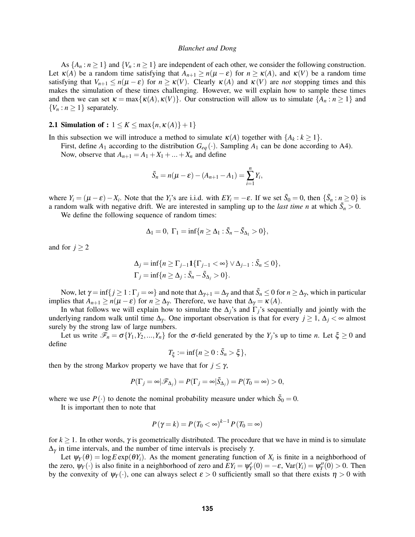As  $\{A_n : n \ge 1\}$  and  $\{V_n : n \ge 1\}$  are independent of each other, we consider the following construction. Let  $\kappa(A)$  be a random time satisfying that  $A_{n+1} \ge n(\mu - \varepsilon)$  for  $n \ge \kappa(A)$ , and  $\kappa(V)$  be a random time satisfying that  $V_{n+1} \le n(\mu - \varepsilon)$  for  $n \ge \kappa(V)$ . Clearly  $\kappa(A)$  and  $\kappa(V)$  are *not* stopping times and this makes the simulation of these times challenging. However, we will explain how to sample these times and then we can set  $\kappa = \max{\kappa(A), \kappa(V)}$ . Our construction will allow us to simulate  $\{A_n : n \ge 1\}$  and  ${V_n : n \geq 1}$  separately.

# **2.1 Simulation of :**  $1 \le K \le \max\{n, \kappa(A)\} + 1\}$

In this subsection we will introduce a method to simulate  $\kappa(A)$  together with  $\{A_k : k \geq 1\}$ .

First, define  $A_1$  according to the distribution  $G_{eq}(\cdot)$ . Sampling  $A_1$  can be done according to A4).

Now, observe that  $A_{n+1} = A_1 + X_1 + ... + X_n$  and define

$$
\tilde{S}_n = n(\mu - \varepsilon) - (A_{n+1} - A_1) = \sum_{i=1}^n Y_i,
$$

where  $Y_i = (\mu - \varepsilon) - X_i$ . Note that the  $Y_i$ 's are i.i.d. with  $EY_i = -\varepsilon$ . If we set  $\tilde{S}_0 = 0$ , then  $\{\tilde{S}_n : n \ge 0\}$  is a random walk with negative drift. We are interested in sampling up to the *last time n* at which  $\tilde{S}_n > 0$ .

We define the following sequence of random times:

$$
\Delta_1 = 0, \ \Gamma_1 = \inf \{ n \ge \Delta_1 : \tilde{S}_n - \tilde{S}_{\Delta_1} > 0 \},
$$

and for  $j \geq 2$ 

$$
\Delta_j = \inf\{n \ge \Gamma_{j-1} \mathbf{1}\{\Gamma_{j-1} < \infty\} \vee \Delta_{j-1} : \tilde{S}_n \le 0\},
$$
\n
$$
\Gamma_j = \inf\{n \ge \Delta_j : \tilde{S}_n - \tilde{S}_{\Delta_j} > 0\}.
$$

Now, let  $\gamma = \inf\{j \ge 1 : \Gamma_j = \infty\}$  and note that  $\Delta_{\gamma+1} = \Delta_{\gamma}$  and that  $\tilde{S}_n \le 0$  for  $n \ge \Delta_{\gamma}$ , which in particular implies that  $A_{n+1} \ge n(\mu - \varepsilon)$  for  $n \ge \Delta_{\gamma}$ . Therefore, we have that  $\Delta_{\gamma} = \kappa(A)$ .

In what follows we will explain how to simulate the  $\Delta_i$ 's and  $\Gamma_i$ 's sequentially and jointly with the underlying random walk until time  $\Delta_{\gamma}$ . One important observation is that for every  $j \geq 1$ ,  $\Delta_j < \infty$  almost surely by the strong law of large numbers.

Let us write  $\mathcal{F}_n = \sigma\{Y_1, Y_2, ..., Y_n\}$  for the  $\sigma$ -field generated by the  $Y_j$ 's up to time *n*. Let  $\xi \geq 0$  and define

$$
T_{\xi}:=\inf\{n\geq 0:\tilde{S}_n>\xi\},\
$$

then by the strong Markov property we have that for  $j \leq \gamma$ ,

$$
P(\Gamma_j = \infty | \mathscr{F}_{\Delta_j}) = P(\Gamma_j = \infty | \tilde{S}_{\Delta_j}) = P(T_0 = \infty) > 0,
$$

where we use  $P(\cdot)$  to denote the nominal probability measure under which  $\tilde{S}_0 = 0$ .

It is important then to note that

$$
P(\gamma = k) = P(T_0 < \infty)^{k-1} P(T_0 = \infty)
$$

for  $k \ge 1$ . In other words,  $\gamma$  is geometrically distributed. The procedure that we have in mind is to simulate  $Δ<sub>γ</sub>$  in time intervals, and the number of time intervals is precisely  $γ$ .

Let  $\psi_Y(\theta) = \log E \exp(\theta Y_i)$ . As the moment generating function of  $X_i$  is finite in a neighborhood of the zero,  $\psi_Y(\cdot)$  is also finite in a neighborhood of zero and  $EY_i = \psi_Y'(0) = -\varepsilon$ ,  $Var(Y_i) = \psi_Y''(0) > 0$ . Then by the convexity of  $\psi_Y(\cdot)$ , one can always select  $\varepsilon > 0$  sufficiently small so that there exists  $\eta > 0$  with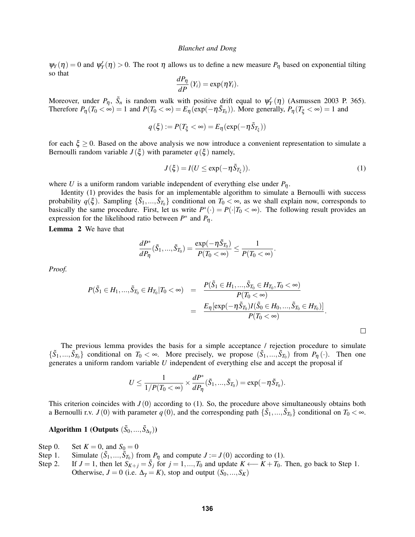$\psi_Y(\eta) = 0$  and  $\psi'_Y(\eta) > 0$ . The root  $\eta$  allows us to define a new measure  $P_\eta$  based on exponential tilting so that

$$
\frac{dP_{\eta}}{dP}(Y_i) = \exp(\eta Y_i).
$$

Moreover, under  $P_{\eta}$ ,  $\tilde{S}_n$  is random walk with positive drift equal to  $\psi'_Y(\eta)$  (Asmussen 2003 P. 365). Therefore  $P_{\eta}(T_0 < \infty) = 1$  and  $P(T_0 < \infty) = E_{\eta}(\exp(-\eta \tilde{S}_{T_0}))$ . More generally,  $P_{\eta}(T_{\xi} < \infty) = 1$  and

$$
q(\xi) := P(T_{\xi} < \infty) = E_{\eta}(\exp(-\eta \tilde{S}_{T_{\xi}}))
$$

for each  $\xi \geq 0$ . Based on the above analysis we now introduce a convenient representation to simulate a Bernoulli random variable  $J(\xi)$  with parameter  $q(\xi)$  namely,

$$
J(\xi) = I(U \le \exp(-\eta \tilde{S}_{T_{\xi}})).
$$
\n(1)

 $\Box$ 

where *U* is a uniform random variable independent of everything else under  $P_n$ .

Identity (1) provides the basis for an implementable algorithm to simulate a Bernoulli with success probability  $q(\xi)$ . Sampling  $\{\tilde{S}_1,...,\tilde{S}_{T_0}\}$  conditional on  $T_0 < \infty$ , as we shall explain now, corresponds to basically the same procedure. First, let us write  $P^*(\cdot) = P(\cdot | T_0 < \infty)$ . The following result provides an expression for the likelihood ratio between  $P^*$  and  $P_{\eta}$ .

Lemma 2 We have that

$$
\frac{dP^*}{dP_{\eta}}(\tilde{S}_1,...,\tilde{S}_{T_0})=\frac{\exp(-\eta \tilde{S}_{T_0})}{P(T_0<\infty)}\leq \frac{1}{P(T_0<\infty)}.
$$

*Proof.*

$$
P(\tilde{S}_1 \in H_1, ..., \tilde{S}_{T_0} \in H_{T_0} | T_0 < \infty) = \frac{P(\tilde{S}_1 \in H_1, ..., \tilde{S}_{T_0} \in H_{T_0}, T_0 < \infty)}{P(T_0 < \infty)} = \frac{E_{\eta} [\exp(-\eta \tilde{S}_{T_0}) I(\tilde{S}_0 \in H_0, ..., \tilde{S}_{T_0} \in H_{T_0})]}{P(T_0 < \infty)}.
$$

The previous lemma provides the basis for a simple acceptance / rejection procedure to simulate  $\{\tilde{S}_1, ..., \tilde{S}_{T_0}\}\$  conditional on  $T_0 < \infty$ . More precisely, we propose  $(\tilde{S}_1, ..., \tilde{S}_{T_0})\$  from  $P_{\eta}(\cdot)$ . Then one generates a uniform random variable *U* independent of everything else and accept the proposal if

$$
U\leq \frac{1}{1/P(T_0<\infty)}\times \frac{dP^*}{dP_{\eta}}(\tilde{S}_1,...,\tilde{S}_{T_0})=\exp(-\eta \tilde{S}_{T_0}).
$$

This criterion coincides with  $J(0)$  according to (1). So, the procedure above simultaneously obtains both a Bernoulli r.v.  $J(0)$  with parameter  $q(0)$ , and the corresponding path  $\{\tilde{S}_1,...,\tilde{S}_{T_0}\}\$  conditional on  $T_0 < \infty$ .

# Algorithm 1 (Outputs  $(\tilde{S}_0, ..., \tilde{S}_{\Delta \gamma})$ )

- Step 0. Set  $K = 0$ , and  $S_0 = 0$
- Step 1. Simulate  $(\tilde{S}_1, ..., \tilde{S}_{T_0})$  from  $P_{\eta}$  and compute  $J := J(0)$  according to (1).
- Step 2. If  $J = 1$ , then let  $S_{K+j} = \tilde{S}_j$  for  $j = 1, ..., T_0$  and update  $K \leftarrow K + T_0$ . Then, go back to Step 1. Otherwise,  $J = 0$  (i.e.  $\Delta_{\gamma} = K$ ), stop and output  $(S_0, ..., S_K)$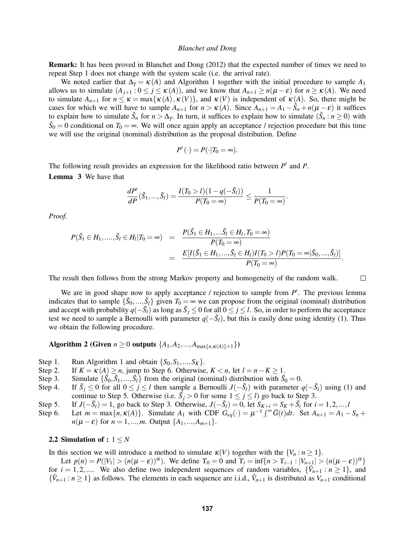Remark: It has been proved in Blanchet and Dong (2012) that the expected number of times we need to repeat Step 1 does not change with the system scale (i.e. the arrival rate).

We noted earlier that  $\Delta_{\gamma} = \kappa(A)$  and Algorithm 1 together with the initial procedure to sample  $A_1$ allows us to simulate  $(A_{j+1}: 0 \le j \le \kappa(A))$ , and we know that  $A_{n+1} \ge n(\mu - \varepsilon)$  for  $n \ge \kappa(A)$ . We need to simulate  $A_{n+1}$  for  $n \leq \kappa = \max{\kappa(A), \kappa(V)}$ , and  $\kappa(V)$  is independent of  $\kappa(A)$ . So, there might be cases for which we will have to sample  $A_{n+1}$  for  $n > \kappa(A)$ . Since  $A_{n+1} = A_1 - \tilde{S}_n + n(\mu - \varepsilon)$  it suffices to explain how to simulate  $\tilde{S}_n$  for  $n > \Delta_{\gamma}$ . In turn, it suffices to explain how to simulate  $(\tilde{S}_n : n \ge 0)$  with  $\tilde{S}_0 = 0$  conditional on  $T_0 = \infty$ . We will once again apply an acceptance / rejection procedure but this time we will use the original (nominal) distribution as the proposal distribution. Define

$$
P'(\cdot) = P(\cdot | T_0 = \infty).
$$

The following result provides an expression for the likelihood ratio between  $P'$  and  $P$ . Lemma 3 We have that

$$
\frac{dP'}{dP}(\tilde{S}_1,...,\tilde{S}_l)=\frac{I(T_0>l)(1-q(-\tilde{S}_l))}{P(T_0=\infty)}\leq \frac{1}{P(T_0=\infty)}.
$$

*Proof.*

$$
P(\tilde{S}_1 \in H_1, ..., \tilde{S}_l \in H_l | T_0 = \infty) = \frac{P(\tilde{S}_1 \in H_1, ... \tilde{S}_l \in H_l, T_0 = \infty)}{P(T_0 = \infty)}
$$
  
= 
$$
\frac{E[I(\tilde{S}_1 \in H_1, ..., \tilde{S}_l \in H_l)I(T_0 > l)P(T_0 = \infty | \tilde{S}_0, ..., \tilde{S}_l)]}{P(T_0 = \infty)}.
$$

The result then follows from the strong Markov property and homogeneity of the random walk.

 $\Box$ 

We are in good shape now to apply acceptance / rejection to sample from P'. The previous lemma indicates that to sample  $\{\tilde{S}_0, ..., \tilde{S}_l\}$  given  $T_0 = \infty$  we can propose from the original (nominal) distribution and accept with probability *q*(−*S*˜ *<sup>l</sup>*) as long as *S*˜ *<sup>j</sup>* ≤ 0 for all 0 ≤ *j* ≤ *l*. So, in order to perform the acceptance test we need to sample a Bernoulli with parameter  $q(-\tilde{S}_l)$ , but this is easily done using identity (1). Thus we obtain the following procedure.

Algorithm 2 (Given  $n \ge 0$  outputs  $\{A_1, A_2, ..., A_{\max\{n, \kappa(A)\}+1}\}\)$ 

- Step 1. Run Algorithm 1 and obtain  $\{S_0, S_1, \ldots, S_K\}$ .
- Step 2. If  $K = \kappa(A) \ge n$ , jump to Step 6. Otherwise,  $K < n$ , let  $l = n K \ge 1$ .
- Step 3. Simulate  $\{\tilde{S}_0, \tilde{S}_1, ..., \tilde{S}_l\}$  from the original (nominal) distribution with  $\tilde{S}_0 = 0$ .
- Step 4. *j* ≤ 0 for all  $0 \le j \le l$  then sample a Bernoulli *J*(−*S*<sub>*l*</sub>) with parameter *q*(−*S*<sub>*l*</sub>) using (1) and continue to Step 5. Otherwise (i.e.  $\tilde{S}_j > 0$  for some  $1 \le j \le l$ ) go back to Step 3.
- Step 5. If  $J(-\tilde{S}_l) = 1$ , go back to Step 3. Otherwise,  $J(-\tilde{S}_l) = 0$ , let  $S_{K+i} = S_K + \tilde{S}_i$  for  $i = 1, 2, ..., l$
- Step 6. Let  $m = \max\{n, \kappa(A)\}$ . Simulate  $A_1$  with CDF  $G_{eq}(\cdot) = \mu^{-1} \int_{-\infty}^{\infty} \bar{G}(t) dt$ . Set  $A_{n+1} = A_1 S_n +$ *n*( $\mu - \varepsilon$ ) for *n* = 1,...,*m*. Output { $A_1$ ,..., $A_{m+1}$ }.

# 2.2 Simulation of : 1 ≤ *N*

In this section we will introduce a method to simulate  $\kappa(V)$  together with the  $\{V_n : n \geq 1\}$ .

Let  $p(n) = P(|V_1| > (n(\mu - \varepsilon))^{\alpha})$ . We define  $\Upsilon_0 = 0$  and  $\Upsilon_i = \inf\{n > \Upsilon_{i-1} : |V_{n+1}| > (n(\mu - \varepsilon))^{\alpha}\}\$ for  $i = 1, 2, ...$  We also define two independent sequences of random variables,  $\{\hat{V}_{n+1} : n \ge 1\}$ , and  ${\{\bar{V}_{n+1} : n \geq 1\}}$  as follows. The elements in each sequence are i.i.d.,  $\hat{V}_{n+1}$  is distributed as  $V_{n+1}$  conditional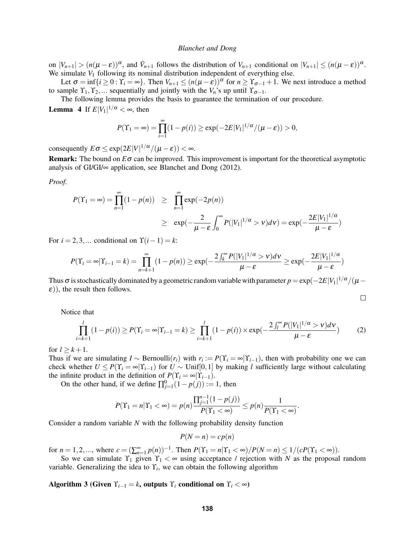on  $|V_{n+1}| > (n(\mu - \varepsilon))^{\alpha}$ , and  $\bar{V}_{n+1}$  follows the distribution of  $V_{n+1}$  conditional on  $|V_{n+1}| \le (n(\mu - \varepsilon))^{\alpha}$ . We simulate  $V_1$  following its nominal distribution independent of everything else.

Let  $\sigma = \inf\{i \geq 0 : \Upsilon_i = \infty\}$ . Then  $V_{n+1} \leq (n(\mu - \varepsilon))^{\alpha}$  for  $n \geq \Upsilon_{\sigma-1} + 1$ . We next introduce a method to sample  $\Upsilon_1, \Upsilon_2, \ldots$  sequentially and jointly with the  $V_n$ 's up until  $\Upsilon_{\sigma-1}$ .

The following lemma provides the basis to guarantee the termination of our procedure. **Lemma** 4 If  $E|V_1|^{1/\alpha} < \infty$ , then

$$
P(\Upsilon_1 = \infty) = \prod_{i=1}^{\infty} (1 - p(i)) \ge \exp(-2E|V_1|^{1/\alpha}/(\mu - \varepsilon)) > 0,
$$

consequently  $E\sigma \leq \exp(2E|V|^{1/\alpha}/(\mu - \varepsilon)) < \infty$ .

Remark: The bound on *E*σ can be improved. This improvement is important for the theoretical asymptotic analysis of GI/GI/∞ application, see Blanchet and Dong (2012).

*Proof.*

$$
P(\Upsilon_1 = \infty) = \prod_{n=1}^{\infty} (1 - p(n)) \ge \prod_{n=1}^{\infty} \exp(-2p(n))
$$
  
 
$$
\ge \exp(-\frac{2}{\mu - \varepsilon} \int_0^{\infty} P(|V_1|^{1/\alpha} > v) dv) = \exp(-\frac{2E|V_1|^{1/\alpha}}{\mu - \varepsilon})
$$

For  $i = 2, 3, \dots$  conditional on  $\Upsilon(i-1) = k$ :

$$
P(\Upsilon_i = \infty | \Upsilon_{i-1} = k) = \prod_{n=k+1}^{\infty} (1 - p(n)) \ge \exp\left(-\frac{2 \int_k^{\infty} P(|V_1|^{1/\alpha} > v) dv}{\mu - \varepsilon} \right) \ge \exp\left(-\frac{2E|V_1|^{1/\alpha}}{\mu - \varepsilon}\right)
$$

Thus  $\sigma$  is stochastically dominated by a geometric random variable with parameter  $p=\exp(-2E|V_1|^{1/\alpha}/(\mu-\mu)$  $\varepsilon$ ), the result then follows.

$$
\qquad \qquad \Box
$$

Notice that

$$
\prod_{i=k+1}^{l} (1 - p(i)) \ge P(\Upsilon_i = \infty | \Upsilon_{i-1} = k) \ge \prod_{i=k+1}^{l} (1 - p(i)) \times \exp(-\frac{2 \int_{l}^{\infty} P(|V_1|^{1/\alpha} > v) dv}{\mu - \varepsilon})
$$
(2)

for  $l \geq k+1$ .

Thus if we are simulating  $I \sim \text{Bernoulli}(r_i)$  with  $r_i := P(Y_i = \infty | Y_{i-1})$ , then with probability one we can check whether  $U \leq P(Y_i = \infty | Y_{i-1})$  for  $U \sim$  Unif[0,1] by making *l* sufficiently large without calculating the infinite product in the definition of  $P(\Upsilon_i = \infty | \Upsilon_{i-1})$ .

On the other hand, if we define  $\prod_{j=1}^{0} (1 - p(j)) := 1$ , then

$$
P(\Upsilon_1 = n | \Upsilon_1 < \infty) = p(n) \frac{\prod_{j=1}^{n-1} (1 - p(j))}{P(\Upsilon_1 < \infty)} \le p(n) \frac{1}{P(\Upsilon_1 < \infty)}.
$$

Consider a random variable *N* with the following probability density function

$$
P(N = n) = cp(n)
$$

for  $n = 1, 2, ...$ , where  $c = (\sum_{n=1}^{\infty} p(n))^{-1}$ . Then  $P(\Upsilon_1 = n | \Upsilon_1 < \infty) / P(N = n) \le 1 / (cP(\Upsilon_1 < \infty))$ .

So we can simulate  $Y_1$  given  $Y_1 < \infty$  using acceptance / rejection with *N* as the proposal random variable. Generalizing the idea to  $\Upsilon_i$ , we can obtain the following algorithm

Algorithm 3 (Given  $\Upsilon_{i-1} = k$ , outputs  $\Upsilon_i$  conditional on  $\Upsilon_i < \infty$ )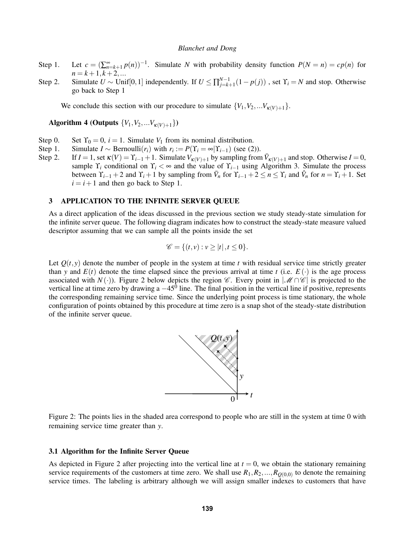- Step 1. Let  $c = (\sum_{n=k+1}^{\infty} p(n))^{-1}$ . Simulate *N* with probability density function  $P(N = n) = cp(n)$  for  $n = k + 1, k + 2, \dots$
- Step 2. Simulate  $U \sim \text{Unif}[0,1]$  independently. If  $U \le \prod_{j=k+1}^{N-1} (1-p(j))$ , set  $\Upsilon_i = N$  and stop. Otherwise go back to Step 1

We conclude this section with our procedure to simulate  $\{V_1, V_2, \ldots V_{\kappa(V)+1}\}.$ 

Algorithm 4 (Outputs  $\{V_1, V_2, ... V_{\kappa(V)+1}\}\$ )

- Step 0. Set  $\Upsilon_0 = 0$ ,  $i = 1$ . Simulate  $V_1$  from its nominal distribution.<br>Step 1. Simulate  $I \sim \text{Bernoulli}(r_i)$  with  $r_i := P(\Upsilon_i = \infty | \Upsilon_{i-1})$  (see (2)
- Step 1. Simulate *I* ~ Bernoulli $(r_i)$  with  $r_i := P(\Upsilon_i = \infty | \Upsilon_{i-1})$  (see (2)).
- Step 2. If  $I = 1$ , set  $\kappa(V) = \Upsilon_{i-1} + 1$ . Simulate  $V_{\kappa(V)+1}$  by sampling from  $\overline{V}_{\kappa(V)+1}$  and stop. Otherwise  $I = 0$ , sample  $\Upsilon_i$  conditional on  $\Upsilon_i < \infty$  and the value of  $\Upsilon_{i-1}$  using Algorithm 3. Simulate the process between  $\Upsilon_{i-1} + 2$  and  $\Upsilon_i + 1$  by sampling from  $\overline{V}_n$  for  $\Upsilon_{i-1} + 2 \le n \le \Upsilon_i$  and  $\hat{V}_n$  for  $n = \Upsilon_i + 1$ . Set  $i = i + 1$  and then go back to Step 1.

# 3 APPLICATION TO THE INFINITE SERVER QUEUE

As a direct application of the ideas discussed in the previous section we study steady-state simulation for the infinite server queue. The following diagram indicates how to construct the steady-state measure valued descriptor assuming that we can sample all the points inside the set

$$
\mathscr{C} = \{(t,v) : v \ge |t|, t \le 0\}.
$$

Let  $Q(t, y)$  denote the number of people in the system at time *t* with residual service time strictly greater than *y* and  $E(t)$  denote the time elapsed since the previous arrival at time *t* (i.e.  $E(\cdot)$ ) is the age process associated with *N*(·)). Figure 2 below depicts the region  $\mathscr{C}$ . Every point in  $|\mathscr{M} \cap \mathscr{C}|$  is projected to the vertical line at time zero by drawing a  $-45^0$  line. The final position in the vertical line if positive, represents the corresponding remaining service time. Since the underlying point process is time stationary, the whole configuration of points obtained by this procedure at time zero is a snap shot of the steady-state distribution of the infinite server queue.





#### 3.1 Algorithm for the Infinite Server Queue

As depicted in Figure 2 after projecting into the vertical line at  $t = 0$ , we obtain the stationary remaining service requirements of the customers at time zero. We shall use  $R_1, R_2, ..., R_{Q(0,0)}$  to denote the remaining service times. The labeling is arbitrary although we will assign smaller indexes to customers that have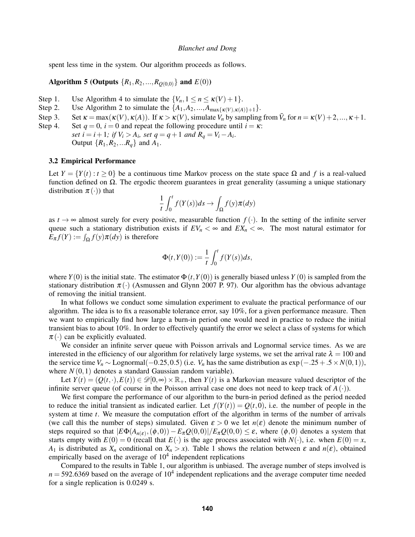spent less time in the system. Our algorithm proceeds as follows.

# Algorithm 5 (Outputs  $\{R_1, R_2, ..., R_{O(0,0)}\}$  and  $E(0)$ )

- Step 1. Use Algorithm 4 to simulate the  $\{V_n, 1 \le n \le \kappa(V) + 1\}$ .
- Step 2. Use Algorithm 2 to simulate the  $\{A_1, A_2, ..., A_{\text{max}\{K(V), K(A)\}+1}\}.$
- Step 3. Set  $\kappa = \max(\kappa(V), \kappa(A))$ . If  $\kappa > \kappa(V)$ , simulate  $\hat{V}_n$  by sampling from  $\bar{V}_n$  for  $n = \kappa(V) + 2, ..., \kappa + 1$ .
- Step 4. Set  $q = 0$ ,  $i = 0$  and repeat the following procedure until  $i = \kappa$ : *set*  $i = i + 1$ ; if  $V_i > A_i$ , set  $q = q + 1$  and  $R_q = V_i - A_i$ . Output  $\{R_1, R_2, ... R_q\}$  and  $A_1$ .

#### 3.2 Empirical Performance

Let  $Y = \{Y(t) : t \ge 0\}$  be a continuous time Markov process on the state space  $\Omega$  and f is a real-valued function defined on  $\Omega$ . The ergodic theorem guarantees in great generality (assuming a unique stationary distribution  $\pi(\cdot)$  that

$$
\frac{1}{t} \int_0^t f(Y(s))ds \to \int_{\Omega} f(y)\pi(dy)
$$

as  $t \to \infty$  almost surely for every positive, measurable function  $f(.)$ . In the setting of the infinite server queue such a stationary distribution exists if  $EV_n < \infty$  and  $EX_n < \infty$ . The most natural estimator for  $E_{\pi} f(Y) := \int_{\Omega} f(y) \pi(dy)$  is therefore

$$
\Phi(t,Y(0)):=\frac{1}{t}\int_0^t f(Y(s))ds,
$$

where  $Y(0)$  is the initial state. The estimator  $\Phi(t, Y(0))$  is generally biased unless  $Y(0)$  is sampled from the stationary distribution  $\pi(\cdot)$  (Asmussen and Glynn 2007 P. 97). Our algorithm has the obvious advantage of removing the initial transient.

In what follows we conduct some simulation experiment to evaluate the practical performance of our algorithm. The idea is to fix a reasonable tolerance error, say 10%, for a given performance measure. Then we want to empirically find how large a burn-in period one would need in practice to reduce the initial transient bias to about 10%. In order to effectively quantify the error we select a class of systems for which  $\pi(\cdot)$  can be explicitly evaluated.

We consider an infinite server queue with Poisson arrivals and Lognormal service times. As we are interested in the efficiency of our algorithm for relatively large systems, we set the arrival rate  $\lambda = 100$  and the service time  $V_n \sim$  Lognormal( $-0.25, 0.5$ ) (i.e.  $V_n$  has the same distribution as  $\exp(-.25+.5 \times N(0,1))$ , where  $N(0,1)$  denotes a standard Gaussian random variable).

Let  $Y(t) = (Q(t, \cdot), E(t)) \in \mathcal{D}[0, \infty) \times \mathbb{R}_+$ , then  $Y(t)$  is a Markovian measure valued descriptor of the infinite server queue (of course in the Poisson arrival case one does not need to keep track of  $A(.)$ ).

We first compare the performance of our algorithm to the burn-in period defined as the period needed to reduce the initial transient as indicated earlier. Let  $f(Y(t)) = Q(t,0)$ , i.e. the number of people in the system at time *t*. We measure the computation effort of the algorithm in terms of the number of arrivals (we call this the number of steps) simulated. Given  $\varepsilon > 0$  we let  $n(\varepsilon)$  denote the minimum number of steps required so that  $|E\Phi(A_{n(\varepsilon)},(\phi,0)) - E_{\pi}Q(0,0)|/E_{\pi}Q(0,0) \leq \varepsilon$ , where  $(\phi,0)$  denotes a system that starts empty with  $E(0) = 0$  (recall that  $E(\cdot)$  is the age process associated with  $N(\cdot)$ , i.e. when  $E(0) = x$ , *A*<sub>1</sub> is distributed as  $X_n$  conditional on  $X_n > x$ ). Table 1 shows the relation between  $\varepsilon$  and  $n(\varepsilon)$ , obtained empirically based on the average of  $10<sup>4</sup>$  independent replications

Compared to the results in Table 1, our algorithm is unbiased. The average number of steps involved is  $n = 592.6369$  based on the average of  $10<sup>4</sup>$  independent replications and the average computer time needed for a single replication is 0.0249 s.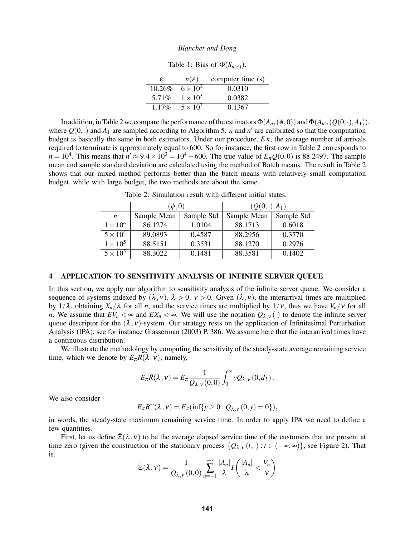| £         | $n(\mathcal{E})$ | computer time (s) |
|-----------|------------------|-------------------|
| $10.26\%$ | $6 \times 10^2$  | 0.0310            |
| $5.71\%$  | $1 \times 10^3$  | 0.0382            |
| $1.17\%$  | $5 \times 10^3$  | 0.1367            |

Table 1: Bias of  $\Phi(S_{n(\varepsilon)})$ .

In addition, in Table 2 we compare the performance of the estimators  $\Phi(A_n,(\phi,0))$  and  $\Phi(A_{n'},(Q(0,\cdot),A_1)),$ where  $Q(0, \cdot)$  and  $A_1$  are sampled according to Algorithm 5. *n* and *n'* are calibrated so that the computation budget is basically the same in both estimators. Under our procedure, *E*κ, the average number of arrivals required to terminate is approximately equal to 600. So for instance, the first row in Table 2 corresponds to  $n = 10^4$ . This means that  $n' \approx 9.4 \times 10^3 = 10^4 - 600$ . The true value of  $E_{\pi}Q(0,0)$  is 88.2497. The sample mean and sample standard deviation are calculated using the method of Batch means. The result in Table 2 shows that our mixed method performs better than the batch means with relatively small computation budget, while with large budget, the two methods are about the same.

|                 | $(\phi,0)$  |            | $(Q(0,\cdot),A_1)$ |            |  |
|-----------------|-------------|------------|--------------------|------------|--|
| n               | Sample Mean | Sample Std | Sample Mean        | Sample Std |  |
| $1 \times 10^4$ | 86.1274     | 1.0104     | 88.1713            | 0.6018     |  |
| $5 \times 10^4$ | 89.0893     | 0.4587     | 88.2956            | 0.3770     |  |
| $1 \times 10^5$ | 88.5151     | 0.3531     | 88.1270            | 0.2976     |  |
| $5 \times 10^5$ | 88.3022     | 0.1481     | 88.3581            | 0.1402     |  |

Table 2: Simulation result with different initial states.

#### 4 APPLICATION TO SENSITIVITY ANALYSIS OF INFINITE SERVER QUEUE

In this section, we apply our algorithm to sensitivity analysis of the infinite server queue. We consider a sequence of systems indexed by  $(\lambda, v), \lambda > 0, v > 0$ . Given  $(\lambda, v)$ , the interarrival times are multiplied by  $1/\lambda$ , obtaining  $X_n/\lambda$  for all *n*, and the service times are multiplied by  $1/\nu$ , thus we have  $V_n/\nu$  for all *n*. We assume that  $EV_n < \infty$  and  $EX_n < \infty$ . We will use the notation  $Q_{\lambda, v}(\cdot)$  to denote the infinite server queue descriptor for the  $(\lambda, v)$ -system. Our strategy rests on the application of Infinitesimal Perturbation Analysis (IPA), see for instance Glasserman (2003) P. 386. We assume here that the interarrival times have a continuous distribution.

We illustrate the methodology by computing the sensitivity of the steady-state average remaining service time, which we denote by  $E_{\pi} \overline{R}(\lambda, v)$ ; namely,

$$
E_{\pi}\bar{R}(\lambda,\nu)=E_{\pi}\frac{1}{Q_{\lambda,\nu}(0,0)}\int_0^{\infty}yQ_{\lambda,\nu}(0,dy).
$$

We also consider

$$
E_{\pi}R^{\infty}(\lambda,\nu)=E_{\pi}(\inf\{y\geq 0:Q_{\lambda,\nu}(0,y)=0\}),
$$

in words, the steady-state maximum remaining service time. In order to apply IPA we need to define a few quantities.

First, let us define  $\bar{\Xi}(\lambda, v)$  to be the average elapsed service time of the customers that are present at time zero (given the construction of the stationary process  $\{Q_{\lambda,v}(t, \cdot): t \in (-\infty, \infty)\}\)$ , see Figure 2). That is,

$$
\bar{\Xi}(\lambda,\nu)=\frac{1}{Q_{\lambda,\nu}(0,0)}\sum_{n=-1}^{-\infty}\frac{|A_n|}{\lambda}I\left(\frac{|A_n|}{\lambda}<\frac{V_n}{\nu}\right)
$$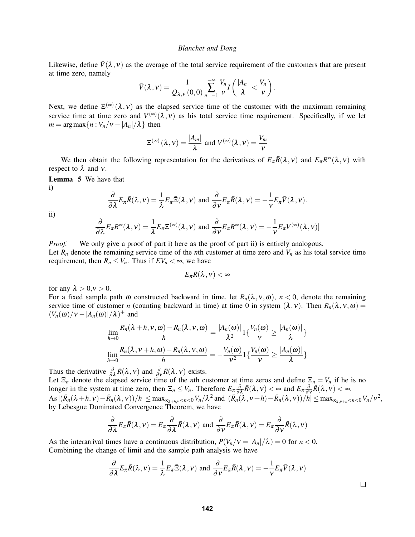Likewise, define  $\bar{V}(\lambda, v)$  as the average of the total service requirement of the customers that are present at time zero, namely

$$
\bar{V}(\lambda, v) = \frac{1}{Q_{\lambda, v}(0, 0)} \sum_{n=-1}^{-\infty} \frac{V_n}{v} I\left(\frac{|A_n|}{\lambda} < \frac{V_n}{v}\right).
$$

Next, we define  $\Xi^{(\infty)}(\lambda, v)$  as the elapsed service time of the customer with the maximum remaining service time at time zero and  $V^{(\infty)}(\lambda, v)$  as his total service time requirement. Specifically, if we let  $m = \arg \max \{ n : V_n / v - |A_n| / \lambda \}$  then

$$
\Xi^{(\infty)}(\lambda, v) = \frac{|A_m|}{\lambda} \text{ and } V^{(\infty)}(\lambda, v) = \frac{V_m}{v}
$$

We then obtain the following representation for the derivatives of  $E_{\pi}R(\lambda, v)$  and  $E_{\pi}R^{\infty}(\lambda, v)$  with respect to  $\lambda$  and  $\nu$ .

Lemma 5 We have that i)

$$
\frac{\partial}{\partial \lambda} E_{\pi} \bar{R}(\lambda, v) = \frac{1}{\lambda} E_{\pi} \bar{\Xi}(\lambda, v) \text{ and } \frac{\partial}{\partial v} E_{\pi} \bar{R}(\lambda, v) = -\frac{1}{v} E_{\pi} \bar{V}(\lambda, v).
$$

ii)

$$
\frac{\partial}{\partial \lambda} E_{\pi} R^{\infty}(\lambda, \nu) = \frac{1}{\lambda} E_{\pi} \Sigma^{(\infty)}(\lambda, \nu) \text{ and } \frac{\partial}{\partial \nu} E_{\pi} R^{\infty}(\lambda, \nu) = -\frac{1}{\nu} E_{\pi} V^{(\infty)}(\lambda, \nu)]
$$

*Proof.* We only give a proof of part i) here as the proof of part ii) is entirely analogous. Let  $R_n$  denote the remaining service time of the *n*th customer at time zero and  $V_n$  as his total service time requirement, then  $R_n \leq V_n$ . Thus if  $EV_n < \infty$ , we have

$$
E_\pi\bar{R}(\lambda,\nu)<\infty
$$

for any  $\lambda > 0, v > 0$ .

For a fixed sample path  $\omega$  constructed backward in time, let  $R_n(\lambda, v, \omega)$ ,  $n < 0$ , denote the remaining service time of customer *n* (counting backward in time) at time 0 in system  $(\lambda, v)$ . Then  $R_n(\lambda, v, \omega)$  =  $(V_n(\omega)/v - |A_n(\omega)|/\lambda)^+$  and

$$
\lim_{h \to 0} \frac{R_n(\lambda + h, v, \omega) - R_n(\lambda, v, \omega)}{h} = \frac{|A_n(\omega)|}{\lambda^2} \mathbb{1} \{ \frac{V_n(\omega)}{v} \ge \frac{|A_n(\omega)|}{\lambda} \}
$$
\n
$$
\lim_{h \to 0} \frac{R_n(\lambda, v + h, \omega) - R_n(\lambda, v, \omega)}{h} = -\frac{V_n(\omega)}{v^2} \mathbb{1} \{ \frac{V_n(\omega)}{v} \ge \frac{|A_n(\omega)|}{\lambda} \}
$$

Thus the derivative  $\frac{\partial}{\partial \lambda} \bar{R}(\lambda, v)$  and  $\frac{\partial}{\partial v} \bar{R}(\lambda, v)$  exists.

Let  $\Xi_n$  denote the elapsed service time of the *n*th customer at time zeros and define  $\Xi_n = V_n$  if he is no longer in the system at time zero, then  $\Xi_n \leq V_n$ . Therefore  $E_{\pi} \frac{\partial}{\partial \lambda} \bar{R}(\lambda, v) < \infty$  and  $E_{\pi} \frac{\partial}{\partial v} \bar{R}(\lambda, v) < \infty$ .  $\operatorname{As} |(\bar{R}_n(\lambda+h,\nu)-\bar{R}_n(\lambda,\nu))/h| \leq \max_{\kappa_{\lambda+h,\nu} < n < 0} V_n/\lambda^2$  and  $|(\bar{R}_n(\lambda,\nu+h)-\bar{R}_n(\lambda,\nu))/h| \leq \max_{\kappa_{\lambda,\nu+h} < n < 0} V_n/\nu^2$ , by Lebesgue Dominated Convergence Theorem, we have

$$
\frac{\partial}{\partial \lambda} E_{\pi} \bar{R}(\lambda, v) = E_{\pi} \frac{\partial}{\partial \lambda} \bar{R}(\lambda, v) \text{ and } \frac{\partial}{\partial v} E_{\pi} \bar{R}(\lambda, v) = E_{\pi} \frac{\partial}{\partial v} \bar{R}(\lambda, v)
$$

As the interarrival times have a continuous distribution,  $P(V_n/v = |A_n|/\lambda) = 0$  for  $n < 0$ . Combining the change of limit and the sample path analysis we have

$$
\frac{\partial}{\partial \lambda} E_{\pi} \bar{R}(\lambda, v) = \frac{1}{\lambda} E_{\pi} \bar{\Xi}(\lambda, v) \text{ and } \frac{\partial}{\partial v} E_{\pi} \bar{R}(\lambda, v) = -\frac{1}{v} E_{\pi} \bar{V}(\lambda, v)
$$